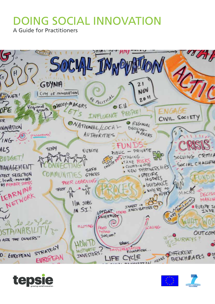# DOING SOCIAL INNOVATION

A Guide for Practitioners





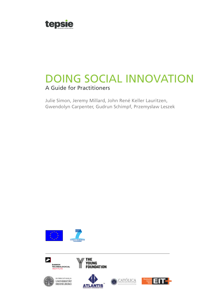

# DOING SOCIAL INNOVATION A Guide for Practitioners

Julie Simon, Jeremy Millard, John René Keller Lauritzen, Gwendolyn Carpenter, Gudrun Schimpf, Przemysław Leszek









**YOUNG<br>FOUNDATION** 

**THE** 



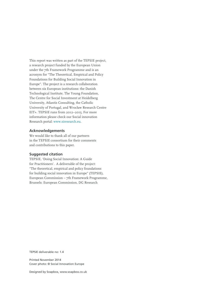This report was written as part of the TEPSIE project, a research project funded by the European Union under the 7th Framework Programme and is an acronym for "The Theoretical, Empirical and Policy Foundations for Building Social Innovation in Europe". The project is a research collaboration between six European institutions: the Danish Technological Institute, The Young Foundation, The Centre for Social Investment at Heidelberg University, Atlantis Consulting, the Catholic University of Portugal, and Wrocław Research Centre EIT+. TEPSIE runs from 2012–2015. For more information please check our Social innovation Research portal: [www.siresearch.eu](http://www.siresearch.eu).

### **Acknowledgements**

We would like to thank all of our partners in the TEPSIE consortium for their comments and contributions to this paper.

### **Suggested citation**

TEPSIE, 'Doing Social Innovation: A Guide for Practitioners'. A deliverable of the project: "The theoretical, empirical and policy foundations for building social innovation in Europe" (TEPSIE), European Commission – 7th Framework Programme, Brussels: European Commission, DG Research

TEPSIE deliverable no: 1.4

Printed November 2014 Cover photo: © Social Innovation Europe

Designed by Soapbox, www.soapbox.co.uk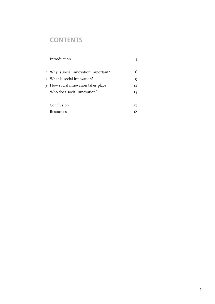# **CONTENTS**

| Introduction                          |                |
|---------------------------------------|----------------|
|                                       |                |
| I Why is social innovation important? |                |
| 2 What is social innovation?          | 9              |
| 3 How social innovation takes place   | T <sub>2</sub> |
| 4 Who does social innovation?         | 14             |
|                                       |                |
| Conclusion                            | 17             |
| Resources                             |                |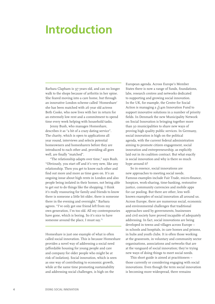# <span id="page-5-0"></span>**Introduction**

Barbara Clapham is 97 years old, and can no longer walk to the shops because of arthritis in her spine. She feared moving into a care home, but through an innovative London scheme called 'Homeshare' she has been matched with 26 year old actress Beth Cooke, who now lives with her in return for an extremely low rent and a commitment to spend time every week helping with household tasks.

Jenny Bush, who manages Homeshare, describes it as "a bit of a crazy dating service". The charity, which is open to applications all year round, interviews and selects potential homeowners and homesharers before they are introduced to each other and, providing all goes well, are finally "matched".

"The relationship adapts over time," says Bush. "Obviously, you start off and it's very new, like any relationship. Then you get to know each other and find out more and more as time goes on. It's an ongoing issue about high rents in London and also people being isolated in their homes, not being able to get out to do things like the shopping. I think it's really reassuring for family and friends to know there is someone a little bit older, there is someone there in the evening and overnight." Barbara agrees. "I've only got one friend left from my own generation, I'm too old. All my contemporaries have gone, which is boring. So it's nice to have someone around the place, I must say."<sup>1</sup>

Homeshare is just one example of what is often called social innovation. This is because Homeshare provides a novel way of addressing a social need (affordable housing for young people and care and company for older people who might be at risk of isolation). Social innovation, which is seen as one way of contributing to economic growth, while at the same time promoting sustainability and addressing social challenges, is high on the

European agenda. Across Europe's Member States there is now a range of funds, foundations, labs, research centres and networks dedicated to supporting and growing social innovation. In the UK, for example, the Centre for Social Action is managing a  $f_{I4}$ m Innovation Fund to support innovative solutions in a number of priority fields. In Denmark the new Municipality Network on Social Innovation is bringing together more than 30 municipalities to share new ways of proving high quality public services. In Germany, social innovation is high on the political agenda, with the current federal administration aiming to promote citizen engagement, social innovation and entrepreneurship, as explicitly laid out in its coalition contract. But what exactly is social innovation and why is there so much hype around it?

So in essence, social innovations are new approaches to meeting social needs. Famous examples include Fair Trade, micro-finance, hospices, work-sharing, time-banking, restorative justice, community currencies and mobile apps for car pooling. But there are other, less wellknown examples of social innovation all around us. Across Europe, there are numerous social, economic and environmental challenges that traditional approaches used by governments, businesses and civil society have proved incapable of adequately addressing. In fact, social innovations are being developed in towns and villages across Europe – in schools and hospitals, in care homes and prisons, in hubs and youth clubs. It is often those working at the grassroots, in voluntary and community sector organisations, associations and networks that are at the vanguard of social innovation; they're trying new ways of doing things to meet social needs.

This short guide is aimed at practitioners – those currently or considering engaging with social innovations. Even though the term social innovation is becoming more widespread, there remains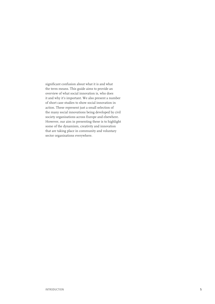significant confusion about what it is and what the term means. This guide aims to provide an overview of what social innovation is, who does it and why it's important. We also present a number of short case studies to show social innovation in action. These represent just a small selection of the many social innovations being developed by civil society organisations across Europe and elsewhere. However, our aim in presenting these is to highlight some of the dynamism, creativity and innovation that are taking place in community and voluntary sector organisations everywhere.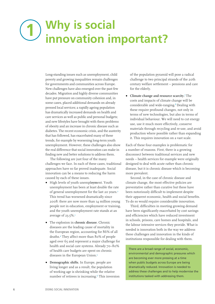# <span id="page-7-0"></span>**1** Why is social<br> **1** innovation important?

Long-standing issues such as unemployment, child poverty and growing inequalities remain challenges for governments and communities across Europe. New challenges have also emerged over the past few decades. Migration and highly diverse communities have put pressure on community cohesion and, in some cases, placed additional demands on already pressed local services; a rapidly ageing population has dramatically increased demands on health and care services as well as public and personal budgets; and new lifestyles have brought with them problems of obesity and an increase in chronic disease such as diabetes. The recent economic crisis, and the austerity that has followed, has exacerbated many of these trends, for example by worsening long-term youth unemployment. However, these challenges also show the real difference that social innovation can make in finding new and better solutions to address them.

The following are just four of the many challenges we face. In each of these cases, traditional approaches have so far proved inadequate. Social innovation can be a means to reducing the harm caused by each of these issues.

- **•** High levels of youth unempl**oym**ent. Youth unemployment has been at least double the rate of general unemployment for the last 20 years.<sup>2</sup> This trend has worsened dramatically since 2008: there are now more than 14 million young people not in education, employment or training, and the youth unemployment rate stands at an average of 23.5%.3
- **•** The explosion in **chronic disease**. Chronic diseases are the leading cause of mortality in the European region, accounting for 86% of all deaths.4 They affect more than 80% of people aged over 65 and represent a major challenge for health and social care systems. Already 70–80% of health care budgets are spent on chronic diseases in the European Union.<sup>5</sup>
- **• Demographic shifts**. In Europe, people are living longer and as a result, the population of working age is shrinking while the relative number of retirees is increasing.<sup>6</sup> This inversion

of the population pyramid will pose a radical challenge to two principal strands of the 20th century welfare settlement – pensions and care for the elderly.

**• Climate change and resource scarcity.**7The costs and impacts of climate change will be considerable and wide-ranging.<sup>8</sup> Dealing with these require profound changes, not only in terms of new technologies, but also in terms of individual behaviour. We will need to cut energy use, use it much more effectively, conserve materials through recycling and re-use, and avoid production where possible rather than expanding it. This requires innovation on a vast scale.

Each of these four examples is problematic for a number of reasons. First, there is a growing disconnect between traditional services and new needs – health services for example were originally designed to deal with acute rather than chronic disease, but it is chronic disease which is becoming more prevalent.

Second, in the case of chronic disease and climate change, the most effective policies are preventative rather than curative but these have been notoriously difficult to implement despite their apparent economic, health and social benefits. To do so would require considerable innovation.

Third, difficulties in meeting growing demand have been significantly exacerbated by cost savings and efficiencies which have reduced investment in schools, prisons, care homes and hospitals, and the labour intensive services they provide. What is needed is innovation both in the way we address these challenges and innovation in the kinds of institutions responsible for dealing with them.

There are a broad range of social, economic, environmental and demographic pressures which are becoming ever more pressing at a time when public budgets across Europe are being dramatically reduced. Innovation is needed to address these challenges and to help modernise the institutions tasked with addressing them.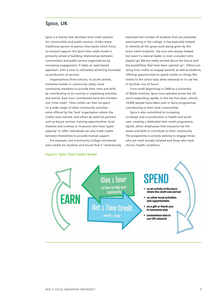## **Spice, UK**

Spice is a charity that develops time credit systems for communities and public services. Unlike many traditional person-to-person time banks which focus on mutual support, the Spice time credit model is primarily aimed at building relationships between communities and public service organisations by increasing engagement. It takes an asset-based approach, with a view to ultimately achieving increased co-production of services.

Organisations (from schools, to youth centres, homeless hostels or community cafes) invite community members to provide their time and skills by contributing to its running or organising activities and events. Each hour contributed earns the member one 'time credit'. Time credits can then be spent on a wide range of other community activities – some offered by the 'host' organisation where the credits were earned, and others by external partners such as leisure centres, training opportunities, local theatres and cinemas or museums who have 'spare capacity' to offer. Individuals can also trade credits between themselves to provide mutual support.

For example, one Community College introduced time credits for students and found that it "dramatically improved the number of students that are positively participating in the college. It has especially helped to identify all the great work being given by the more 'silent students', the one who always helped but wasn't a natural leader or even a student who played up! We are really excited about the future and the possibilities that have been opened up". Others are using time credits to engage parents as well as students, offering opportunities to spend credits on things like tickets to the school play dress rehearsal or to use the IT facilities 'out of hours'.

From small beginnings in 2009 as a University of Wales Institute, Spice now operates across the UK and is expanding rapidly. In the last five years, almost 14,000 people have taken part in Spice programmes, contributing to their local communities.

Spice is also committed to increasing co-design and co-production in health and social care, creating a dedicated time credit programme, UpLift, which emphasises that everyone has the assets and skills to contribute to their community. The programme is actively seeking to engage those who are most socially isolated and those who have chronic health conditions.



#### **Figure1: Spice Time Credits Model**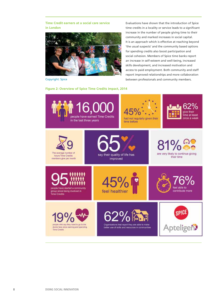**Time Credit earners at a social care service in London**



Copyright: Spice

Evaluations have shown that the introduction of Spice time credits in a locality or service leads to a significant increase in the number of people giving time to their community and marked increases in social capital. It is an approach which is effective at reaching beyond 'the usual suspects' and the community based options for spending credits also boost participation and social cohesion. Members of Spice time banks report an increase in self-esteem and well-being, increased skills development, and increased motivation and access to paid employment. Both community and staff report improved relationships and more collaboration between professionals and community members.

### **Figure 2: Overview of Spice Time Credits impact, 2014**

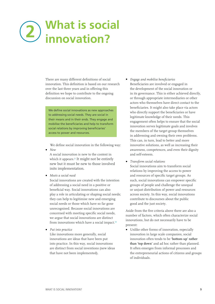# <span id="page-10-0"></span>**What is social**  2) what is soci<br>2) innovation?

There are many different definitions of social innovation. This definition is based on our research over the last three years and in offering this definition we hope to contribute to the ongoing discussion on social innovation.

We define social innovations as new approaches to addressing social needs. They are social in their means and in their ends. They engage and mobilise the beneficiaries and help to transform social relations by improving beneficiaries' access to power and resources.

We define social innovation in the following way: **•** *New*

A social innovation is new to the context in which it appears.<sup>9</sup> It might not be entirely new but it must be new to those involved inits implementation.

**•** *Meets a social need*

Social innovations are created with the intention of addressing a social need in a positive or beneficial way. Social innovations can also play a role in articulating or shaping social needs; they can help to legitimise new and emerging social needs or those which have so far gone unrecognised. Because social innovations are concerned with meeting specific social needs, we argue that social innovations are distinct from innovations which have a social impact.<sup>10</sup>

**•** *Put into practice*

Like innovations more generally, social innovations are ideas that have been put into practice. In this way, social innovations are distinct from social inventions (new ideas that have not been implemented).

- **•** *Engage and mobilise beneficiaries* Beneficiaries are involved or engaged in the development of the social innovation or in its governance. This is either achieved directly, or through appropriate intermediaries or other actors who themselves have direct contact to the beneficiaries. It might also take place via actors who directly support the beneficiaries or have legitimate knowledge of their needs. This engagement often helps to ensure that the social innovation serves legitimate goals and involves the members of the target group themselves in addressing and owning their own problems. This can, in turn, lead to better and more innovative solutions, as well as increasing their awareness, competences, and even their dignity and self-esteem.
- **•** *Transform social relations* Social innovations aim to transform social relations by improving the access to power and resources of specific target groups. As such, social innovations can empower specific groups of people and challenge the unequal or unjust distribution of power and resources across society. In this way, social innovations contribute to discourses about the public good and the just society.

Aside from the five criteria above there are also a number of factors, which often characterize social innovations, but do not necessarily have to be present:

**•** Unlike other forms of innovation, especially innovation in large scale companies, social innovation often tends to be **'bottom up' rather than 'top down'** and ad hoc rather than planned. It often emerges from informal processes and the entrepreneurial actions of citizens and groups of individuals.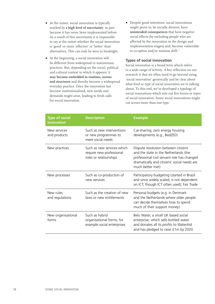- **•** At the outset, social innovation is typically marked by **a high level of uncertainty**, in part because it has never been implemented before. As a result of this uncertainty it is impossible to say at the outset whether the social innovation is 'good' or more 'effective' or 'better' than alternatives. This can only be seen in hindsight.
- **•** At the beginning, a social innovation will be different from widespread or mainstream practices. But, depending on the social, political and cultural context in which it appears, it **may become embedded in routines, norms and structures** and thereby become a widespread everyday practice. Once the innovation has become institutionalised, new needs and demands might arise, leading to fresh calls for social innovation.
- **•** Despite good intentions, social innovations might prove to: be socially divisive; have **unintended consequences** that have negative social effects (by excluding people who are affected by the innovation in the design and implementation stages) and; become vulnerable to co-option and/or mission drift.<sup>11</sup>

### **Types of social innovation**

Social innovation is a broad term which refers to a wide range of activity. A key reflection on our research is that we often need to go beyond using 'social innovation' generically and be clear about what kind or type of social innovation we're talking about. To this end, we've developed a typology of social innovations which sets out five forms or types of social innovation. Some social innovations might cut across more than one type.

| <b>Type of social</b><br>innovation | <b>Description</b>                                                               | <b>Example</b>                                                                                                                                                                                 |
|-------------------------------------|----------------------------------------------------------------------------------|------------------------------------------------------------------------------------------------------------------------------------------------------------------------------------------------|
| New services<br>and products        | Such as new interventions<br>or new programmes to<br>meet social needs           | Car-sharing; zero energy housing<br>developments (e.g., BedZED)                                                                                                                                |
| New practices                       | Such as new services which<br>require new professional<br>roles or relationships | Dispute resolution between citizens<br>and the state in the Netherlands (the<br>professional civil servant role has changed<br>dramatically and citizens' social needs are<br>much better met) |
| New processes                       | Such as co-production of<br>new services                                         | Participatory budgeting (started in Brazil<br>and since widely scaled; is not dependent<br>on ICT, though ICT often used); Fair Trade                                                          |
| New rules<br>and regulations        | Such as the creation of new<br>laws or new entitlements                          | Personal budgets (e.g. in Denmark<br>and the Netherlands where older people<br>can decide themselves how to spend<br>much of their support money)                                              |
| New organisational<br>forms         | Such as hybrid<br>organisational forms; for<br>example social enterprises        | Belu Water, a small UK based social<br>enterprise, which sells bottled water<br>and donates all its profits to WaterAid<br>and has pledged to raise £1m by 2020                                |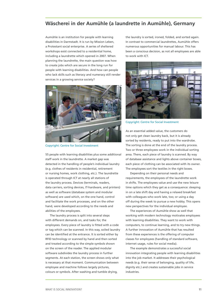# **Wäscherei in der Aumühle (a laundrette in Aumühle), Germany**

Aumühle is an institution for people with learning disabilities in Darmstadt. It is run by Mission Leben, a Protestant social enterprise. A series of sheltered workshops exist connected to a residential home, including a laundrette which opened in 2007. When planning the laundrette, the main question was how to create jobs which are secure in the long run for people with learning disabilities. And how can people who lack skills such as literacy and numeracy still render services in a growing service society?



Copyright: Centre for Social Investment

55 people with learning disabilities plus some additional staff work in the laundrette. A market gap was detected in the handling of people's individual laundry (e.g. clothes of residents in residential, retirement or nursing homes, work clothing, etc.). The laundrette is operated through ICT at nearly all stations of the laundry process. Devices (terminals, readers, data carriers, sorting devices, IT-hardware, and printers) as well as software (database system and modular software) are used which, on the one hand, control and facilitate the work processes, and on the other hand, were developed according to the needs and abilities of the employees.

The laundry process is split into several steps with different demands on, and tasks for, the employees. Every piece of laundry is fitted with a code or tag which can be scanned. In this way, soiled laundry can be identified at the entrance. It is sorted either by RFID technology or scanned by hand and then sorted and treated according to the simple symbols shown on the screen of the reader. The applied modular software subdivides the laundry process in further segments. At each station, the screen shows only what is necessary at that moment. Communication between employee and machine follows largely pictures, colours or symbols. After washing and tumble drying,

the laundry is sorted, ironed, folded, and sorted again. In contrast to commercial laundrettes, Aumühle offers numerous opportunities for manual labour. This has been a conscious decision, as not all employees are able to work with ICT.



Copyright: Centre for Social Investment

As an essential added value, the customers do not only get clean laundry back, but it is already sorted by residents, ready to put into the wardrobe. The sorting is done at the end of the laundry process. Two or three employees work in the individual sorting area. There, each piece of laundry is scanned. By way of database assistance and lights above container boxes, each piece of clothing can be associated with its owner. The employees sort the textiles in the right boxes.

Depending on their personal needs and requirements, the employees of the laundrette work in shifts. The employees value and use the new leisure time options which they get as a consequence: sleeping in on a late shift day and having a relaxed breakfast with colleagues who work late, too; or using a day off during the week to pursue a new hobby. This opens new perspectives for the individual employee.

The experiences of Aumühle show as well that working with modern technology motivates employees with learning disabilities. They want to work with computers, to continue learning, and to try new things. A further innovation of Aumühle that has resulted from these experiences is the offering of computer classes for employees (handling of standard software, internet usage, rules for social media).

The example demonstrates a successful social innovation integrating people with learning disabilities into the job market. It addresses their psychological needs (e.g. their sense of belonging, quality of life, dignity etc.) and creates sustainable jobs in service industries.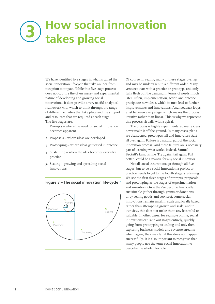# <span id="page-13-0"></span>**How social innovation takes place 3**

We have identified five stages in what is called the social innovation life-cycle that take an idea from inception to impact. While this five stage process does not capture the often messy and experimental nature of developing and growing social innovations, it does provide a very useful analytical framework with which to think through the range of different activities that take place and the support and resources that are required at each stage. The five stages are:

- 1. Prompts where the need for social innovation becomes apparent
- 2. Proposals where ideas are developed
- 3. Prototyping where ideas get tested in practice
- 4. Sustaining when the idea becomes everyday practice
- 5. Scaling growing and spreading social innovations





Of course, in reality, many of these stages overlap and may be undertaken in a different order. Many ventures start with a practice or prototype and only fully flesh out the demand in terms of needs much later. Often, implementation, action and practice precipitate new ideas, which in turn lead to further improvements and innovations. And feedback loops exist between every stage, which makes the process iterative rather than linear. This is why we represent this process visually with a spiral.

The process is highly experimental so many ideas never make it off the ground. In many cases, plans are abandoned, prototypes fail and innovators start all over again. Failure is a natural part of the social innovation process. And these failures are a necessary part of learning what works. Indeed, Samuel Beckett's famous line 'Try again. Fail again. Fail better.' could be a mantra for any social innovator.

Not all social innovations go through all five stages, but to be a social innovation a project or practice needs to get to the fourth stage: sustaining. We see the first three stages of prompts, proposals and prototyping as the stages of experimentation and invention. Once they've become financially sustainable (either through grants or donations, or by selling goods and services), some social innovations remain small in scale and locally based, rather than attempting growth and scale, and in our view, this does not make them any less valid or valuable. In other cases, for example online, social innovations can skip out stages entirely, quickly going from prototyping to scaling and only then exploring business models and revenue streams when, again, they may fail if this does not happen successfully. It is also important to recognise that many people use the term social innovation to describe the whole life-cycle.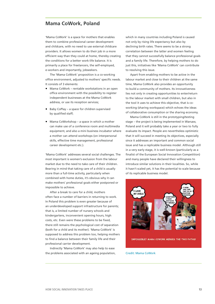### **Mama CoWork, Poland**

'Mama CoWork' is a space for mothers that enables them to combine professional career development and childcare, with no need to use external childcare providers. It allows women to do their job in a more efficient way than they could at home, thereby creating the conditions for a better work-life balance. It is primarily a place for freelancers, the self-employed, e-workers and importantly, jobseekers.

The 'Mama CoWork' proposition is a co-working office environment, adjusted to mothers' specific needs. It consists of 3 elements:

- **•** Mama CoWork rentable workstations in an open office environment with the possibility to register independent businesses at the Mama CoWork address, or use its reception services;
- **•** Baby CoPlay a space for children supervised by qualified staff;
- **•** Mama CoWorkshop a space in which a mother can make use of a conference room and multimedia equipment, and also a mini business incubator where a mother can attend workshops (on interpersonal skills, effective time management, professional career development etc.).

'Mama CoWork' addresses several social challenges. The most important is women's exclusion from the labour market due to the need to take care of their children. Bearing in mind that taking care of a child is usually more than a full-time activity, particularly when combined with home duties, it's obvious why it can make mothers' professional goals either postponed or impossible to achieve.

After a break to care for a child, mothers often face a number of barriers in returning to work. In Poland this problem is even greater because of an underdeveloped support infrastructure for parents; that is, a limited number of nursery schools and kindergartens, inconvenient opening hours, high costs, etc. Even were these problems to be fixed, there still remains the psychological cost of separation (both for a child and its mother). 'Mama CoWork' is supposed to address this problem too, helping mothers to find a balance between their family life and their professional carrier development.

Indirectly 'Mama CoWork' may also help to ease the problems associated with an ageing population, which in many countries including Poland is caused not only by rising life expectancy but also by declining birth rates. There seems to be a strong correlation between the latter and women feeling that they cannot successfully balance professional goals and a family life. Therefore, by helping mothers to do just this, initiatives like 'Mama CoWork' can contribute to resolving this issue.

Apart from enabling mothers to be active in the labour market and close to their children at the same time, Mama CoWork also provides an opportunity to build a community of mothers. Its innovativeness lies not only in creating opportunities to enter/return to the labour market with small children, but also in the tool it uses to achieve this objective, that is coworking (sharing workspace) which echoes the ideas of collaborative consumption or the sharing economy.

Mama CoWork is still in the prototyping/testing stage – the project is being implemented in Warsaw, Poland and it will probably take a year or two to fully evaluate its impact. People are nevertheless optimistic that it will succeed in meeting its objectives, especially since it addresses an important and common social issue and has a replicable business model. Although still in a very early stage, it is well-known (particularly as a finalist of the European Social Innovation Competition) and many people have declared their willingness to introduce similar solutions in their localities. So, while it hasn't scaled yet, it has the potential to scale because of its replicable business model.



#### Credit: Mama CoWork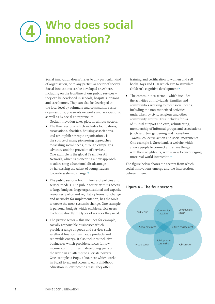# <span id="page-15-0"></span>**Who does social 4 innovation?**

Social innovation doesn't refer to any particular kind of organisation, or to any particular sector of society. Social innovations can be developed anywhere, including on the frontline of our public services – they can be developed in schools, hospitals, prisons and care homes. They can also be developed at the local level by voluntary and community sector organisations, grassroots networks and associations, as well as by social entrepreneurs.

Social innovation takes place in all four sectors:

- **•** The third sector which includes foundations, associations, charities, housing associations, and other philanthropic organisations, is the source of many pioneering approaches to tackling social needs, through campaigns, advocacy and the provision of services. One example is the global Teach For All Network, which is pioneering a new approach to addressing educational disadvantage by harnessing the talent of young leaders to create systemic change.<sup>13</sup>
- **•** The public sector both in terms of policies and service models. The public sector, with its access to large budgets, huge organisational and capacity resources, policy and regulatory levers for change and networks for implementation, has the tools to create the most systemic change. One example is personal budgets which enable service users to choose directly the types of services they need.
- **•** The private sector this includes for example, socially responsible businesses which provide a range of goods and services such as ethical finance, Fair Trade products and renewable energy. It also includes inclusive businesses which provide services for low income communities in developing parts of the world in an attempt to alleviate poverty. One example is Pupa, a business which works in Brazil to expand access to early childhood education in low income areas. They offer

training and certification to women and sell books, toys and CDs which aim to stimulate children's cognitive development.<sup>14</sup>

**•** The communities sector – which includes the activities of individuals, families and communities working to meet social needs, including the non-monetised activities undertaken by civic, religious and other community groups. This includes forms of mutual support and care, volunteering, membership of informal groups and associations (such as urban gardening and Transition Towns), collective action and social movements. One example is Streetbank, a website which allows people to connect and share things with their neighbours, with a view to encouraging more real-world interaction.<sup>15</sup>

The figure below shows the sectors from which social innovations emerge and the intersections between them.



### **Figure 4 – The four sectors**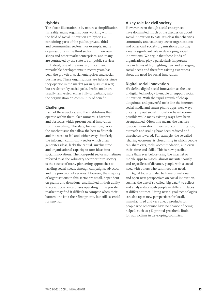### **Hybrids**

The above illustration is by nature a simplification. In reality, many organisations working within the field of social innovation are hybrids – containing parts of the public, private, third and communities sectors. For example, many organisations in the third sector run their own shops and other market enterprises, and many are contracted by the state to run public services.

Indeed, one of the most significant and remarkable developments in recent years has been the growth of social enterprises and social businesses. These organisations are hybrids since they operate in the market (or in quasi-markets) but are driven by social goals. Profits made are usually reinvested, either fully or partially, into the organisation or 'community of benefit'.

#### **Challenges**

Each of these sectors, and the institutions that operate within them, face numerous barriers and obstacles which prevent social innovation from flourishing. The state, for example, lacks the mechanisms that allow the best to flourish and the weak to fail and wither away. Similarly, the informal, community sector which often generates ideas, lacks the capital, surplus time and organisational capacity to turn ideas into social innovations. The non-profit sector (sometimes referred to as the voluntary sector or third sector) is the source of many pioneering approaches to tackling social needs, through campaigns, advocacy and the provision of services. However, the majority of organisations in this sector are small, dependent on grants and donations, and limited in their ability to scale. Social enterprises operating in the private market may find it difficult to compete when their bottom-line isn't their first priority but still essential for survival.

### **A key role for civil society**

However, even though social enterprises have dominated much of the discussion about social innovation to date, it's clear that charities, community and voluntary sector organisations and other civil society organisations also play a really significant role in developing social innovations. We argue that these kinds of organisations play a particularly important role in terms of highlighting new and emerging social needs and therefore raising awareness about the need for social innovation.

### **Digital social innovation**

We define digital social innovation as the use of digital technology to enable or support social innovation. With the rapid growth of cheap, ubiquitous and powerful tools like the internet, social media and smart phone apps, new ways of carrying out social innovation have become possible while many existing ways have been strengthened. Often this means the barriers to social innovation in terms of communication, outreach and scaling have been reduced and thresholds lowered. For example, the so-called 'sharing economy' is blossoming in which people can share cars, tools, accommodation, and even their time and skills. This is now possible more than ever before using the internet or mobile apps to match, almost instantaneously and regardless of distance, people with a social need with others who can meet that need.

Digital tools can also be transformational and open new perspectives on social innovation, such as the use of so-called 'big data'<sup>16</sup> to collect and analyse data absh people in different places at different times. Using new digital technologies can also open new perspectives for locally manufactured and very cheap products for people who otherwise have no chance of being helped, such as 3-D printed prosthetic limbs for war victims in developing countries.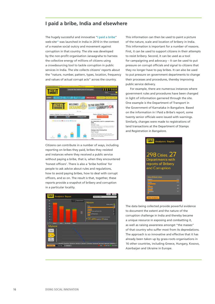## **I paid a bribe, India and elsewhere**

The hugely successful and innovative "[I paid a bribe](http://www.ipaidabribe.com/)" web-site<sup>17</sup> was launched in India in 2010 in the context of a massive social outcry and movement against corruption in that country. The site was developed by the non-profit organisation Janaagraha to harness the collective energy of millions of citizens using a crowdsourcing tool to tackle corruption in public services in India. The site collects citizens' reports about the "nature, number, pattern, types, location, frequency and values of actual corrupt acts" across the country.



Citizens can contribute in a number of ways, including reporting on bribes they paid, bribes they resisted and instances where they received a public service without paying a bribe, that is, when they encountered 'honest officers'. There is also a 'bribe hotline' for people to ask advice about rules and regulations, how to avoid paying bribes, how to deal with corrupt officers, and so on. The result is that, together, these reports provide a snapshot of bribery and corruption in a particular locality.



This information can then be used to paint a picture of the nature, scale and location of bribery in India. This information is important for a number of reasons. First, it can be used to support citizens in their attempts to resist bribery. Second, it can be used as a tool for campaigning and advocacy – it can be used to put pressure on corrupt officials and signal to citizens that they no longer have to pay bribes. It can also be used to put pressure on government departments to change their processes and procedures, thereby improving public service delivery.

For example, there are numerous instances where government rules and procedures have been changed in light of information garnered through the site. One example is the Department of Transport in the Government of Karnataka in Bangalore. Based on the information in I Paid a Bribe's report, some twenty senior officials were issued with warnings. Similarly, changes were made to registrations of land transactions at the Department of Stamps and Registration in Bangalore.



The data being collected provide powerful evidence to document the extent and the nature of the corruption challenge in India and thereby became a unique resource in exposing and combatting it, as well as raising awareness amongst "the masses" of that country who suffer most from its depredations. The approach is so innovative and effective that it has already been taken up by grass-roots organisations in 16 other countries, including Greece, Hungary, Kosovo, Azerbaijan and Ukraine in Europe.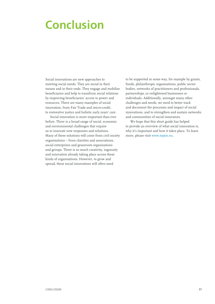# <span id="page-18-0"></span>**Conclusion**

Social innovations are new approaches to meeting social needs. They are social in their means and in their ends. They engage and mobilise beneficiaries and help to transform social relations by improving beneficiaries' access to power and resources. There are many examples of social innovation, from Fair Trade and micro-credit, to restorative justice and holistic early years' care.

Social innovation is more important than ever before. There is a broad range of social, economic and environmental challenges that require us to innovate new responses and solutions. Many of these solutions will come from civil society organisations – from charities and associations, social enterprises and grassroots organisations and groups. There is so much creativity, ingenuity and innovation already taking place across these kinds of organisations. However, to grow and spread, these social innovations will often need

to be supported in some way, for example by grants, funds, philanthropic organisations, public sector bodies, networks of practitioners and professionals, partnerships, or enlightened businesses or individuals. Additionally, amongst many other challenges and needs, we need to better track and document the processes and impact of social innovations, and to strengthen and sustain networks and communities of social innovators.

We hope that this short guide has helped to provide an overview of what social innovation is, why it's important and how it takes place. To learn more, please visit [www.tepsie.eu.](http://www.tepsie.eu)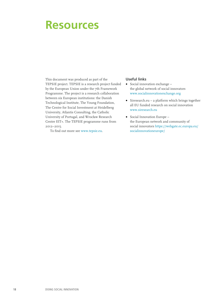# <span id="page-19-0"></span>**Resources**

This document was produced as part of the TEPSIE project. TEPSIE is a research project funded by the European Union under the 7th Framework Programme. The project is a research collaboration between six European institutions: the Danish Technological Institute, The Young Foundation, The Centre for Social Investment at Heidelberg University, Atlantis Consulting, the Catholic University of Portugal, and Wrocław Research Centre EIT+. The TEPSIE programme runs from 2012–2015.

To find out more see [www.tepsie.eu](http://www.tepsie.eu).

#### **Useful links**

- **•** Social innovation exchange the global network of social innovators [www.socialinnovationexchange.org](http://www.socialinnovationexchange.org)
- **•** <Siresearch.eu> a platform which brings together all EU funded research on social innovation [www.siresearch.eu](http://www.siresearch.eu)
- **•** Social Innovation Europe the European network and community of social innovators [https://webgate.ec.europa.eu/](https://webgate.ec.europa.eu/socialinnovationeurope) [socialinnovationeurope](https://webgate.ec.europa.eu/socialinnovationeurope)/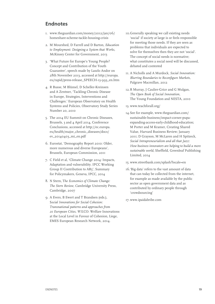# **Endnotes**

- 1. [www.theguardian.com/money/2012/jan/06/](http://www.theguardian.com/money/2012/jan/06/homeshare-scheme-tackle-housing-crisis) [homeshare-scheme-tackle-housing-crisis](http://www.theguardian.com/money/2012/jan/06/homeshare-scheme-tackle-housing-crisis)
- 2. M Mourshed, D Farrell and D Barton, *Education to Employment: Designing a System that Works, M*cKinsey Center for Government, 2013
- 3. 'What Future for Europe's Young People? Concept and Contribution of the Youth Guarantee', speech made by Laszlo Andor on 28th November 2013, accessed at ht[tp://europa.](http://europa.eu/rapid/press-release_SPEECH-13-993_en.htm) [eu/rapid/press-release\\_SPEECH-13-993\\_en.htm](http://europa.eu/rapid/press-release_SPEECH-13-993_en.htm)
- 4. R Busse, M Blümel, D Scheller-Kreinsen and A Zentner, 'Tackling Chronic Disease in Europe, Strategies, Interventions and Challenges.' European Observatory on Health Systems and Policies, Observatory Study Series Number 20, 2010
- 5. The 2014 EU Summit on Chronic Diseases, Brussels, 3 and 4 April 2014, Conference Conclusions, accessed at htt[p://ec.europa.](http://ec.europa.eu/health/major_chronic_diseases/docs/ev_20140403_mi_en.pdf) [eu/health/major\\_chronic\\_diseases/docs/](http://ec.europa.eu/health/major_chronic_diseases/docs/ev_20140403_mi_en.pdf) [ev\\_20140403\\_mi\\_en.pdf](http://ec.europa.eu/health/major_chronic_diseases/docs/ev_20140403_mi_en.pdf)
- 6. Eurostat, 'Demography Report 2010: Older, more numerous and diverse Europeans', Brussels, European Commission, 2011
- 7. C Field et al, 'Climate Change 2014: Impacts, Adaptation and vulnerability. IPCC Working Group II Contribution to AR5', Summary for Policymakers, Geneva, IPCC, 2014
- 8. N Stern, T*he Economics of Climate Change: The Stern Review, C*ambridge University Press, Cambridge, 2007
- 9. A Evers, B Ewert and T Brandsen (eds.), S*ocial Innovations for Social Cohesion: Transnational patterns and approaches from 20 European Cities, WIL*CO: Welfare Innovations at the Local Level in Favour of Cohesion, Liege, EMES European Research Network, 2014.
- 10.Generally speaking we call existing needs 'social' if society at large is or feels responsible for meeting those needs. If they are seen as problems that individuals are expected to solve for themselves then they are not 'social'. The concept of social needs is normative; what constitutes a social need will be discussed, debated and contested
- 11. A Nicholls and A Murdock, *Social Innovation: Blurring Boundaries to Reconfigure Markets*, Palgrave Macmillan, 2012
- 12.R Murray, J Caulier-Grice and G Mulgan, *The Open Book of Social Innovation,*  The Young Foundation and NESTA, 2010
- 13. ww[w.teachforall.org/](http://www.teachforall.org)
- 14.See for example, ww[w.theguardian.com/](http://www.theguardian.com/sustainable-business/impact-corner-pupa-expanding-access-early-childhood-education) [sustainable-business/impact-corner-pupa](http://www.theguardian.com/sustainable-business/impact-corner-pupa-expanding-access-early-childhood-education)[expanding-access-early-childhood-education;](http://www.theguardian.com/sustainable-business/impact-corner-pupa-expanding-access-early-childhood-education)  M Porter and M Kramer, Creating Shared Value, Harvard Business Review; January 2011; D Grayson, M McLaren and H Spitzeck, *Social Intrapreneurialism and all that Jazz: How business innovators are helping to build a more sustainable world*, Sheffield, Greenleaf Publishing Limited, 2014
- 15. ww[w.streetbank.com/splash?locale=en](http://www.streetbank.com/splash?locale=en)
- 16.'Big data' refers to the vast amount of data that can today be collected from the internet, for example as made available by the public sector as open government data and as contributed by ordinary people through 'crowdsourcing'
- 17.ww[w.ipaidabribe.com](http://www.ipaidabribe.com)